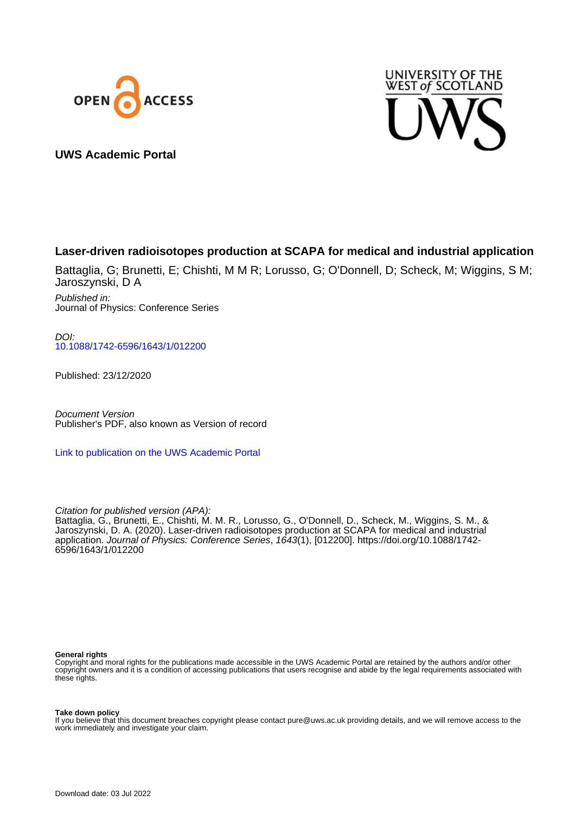



**UWS Academic Portal**

## **Laser-driven radioisotopes production at SCAPA for medical and industrial application**

Battaglia, G; Brunetti, E; Chishti, M M R; Lorusso, G; O'Donnell, D; Scheck, M; Wiggins, S M; Jaroszynski, D A

Published in: Journal of Physics: Conference Series

DOI: [10.1088/1742-6596/1643/1/012200](https://doi.org/10.1088/1742-6596/1643/1/012200)

Published: 23/12/2020

Document Version Publisher's PDF, also known as Version of record

[Link to publication on the UWS Academic Portal](https://uws.pure.elsevier.com/en/publications/e166f147-a510-426e-b796-57aef6ed0e23)

Citation for published version (APA):

Battaglia, G., Brunetti, E., Chishti, M. M. R., Lorusso, G., O'Donnell, D., Scheck, M., Wiggins, S. M., & Jaroszynski, D. A. (2020). Laser-driven radioisotopes production at SCAPA for medical and industrial application. Journal of Physics: Conference Series, 1643(1), [012200]. [https://doi.org/10.1088/1742-](https://doi.org/10.1088/1742-6596/1643/1/012200) [6596/1643/1/012200](https://doi.org/10.1088/1742-6596/1643/1/012200)

#### **General rights**

Copyright and moral rights for the publications made accessible in the UWS Academic Portal are retained by the authors and/or other copyright owners and it is a condition of accessing publications that users recognise and abide by the legal requirements associated with these rights.

#### **Take down policy**

If you believe that this document breaches copyright please contact pure@uws.ac.uk providing details, and we will remove access to the work immediately and investigate your claim.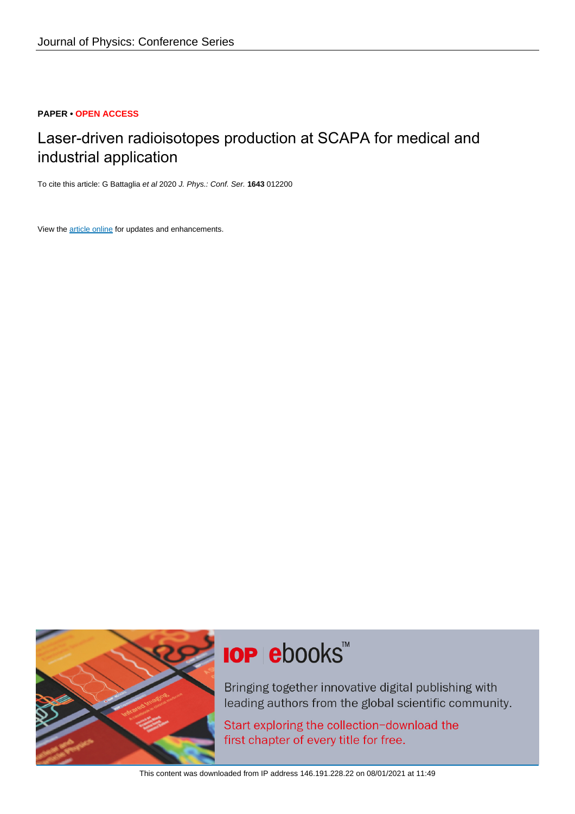#### **PAPER • OPEN ACCESS**

## Laser-driven radioisotopes production at SCAPA for medical and industrial application

To cite this article: G Battaglia et al 2020 J. Phys.: Conf. Ser. **1643** 012200

View the [article online](https://doi.org/10.1088/1742-6596/1643/1/012200) for updates and enhancements.



# **IOP ebooks**™

Bringing together innovative digital publishing with leading authors from the global scientific community.

Start exploring the collection-download the first chapter of every title for free.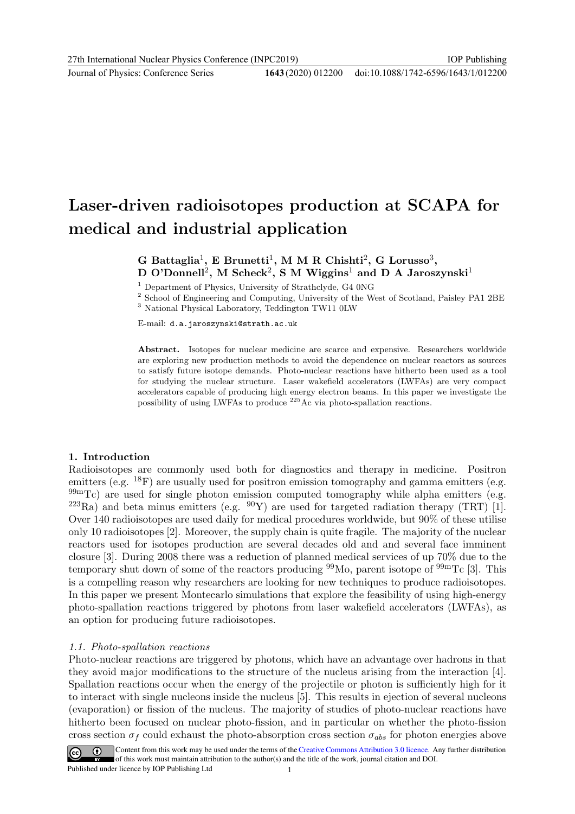Journal of Physics: Conference Series **1643** (2020) 012200

# Laser-driven radioisotopes production at SCAPA for medical and industrial application

## G Battaglia<sup>1</sup>, E Brunetti<sup>1</sup>, M M R Chishti<sup>2</sup>, G Lorusso<sup>3</sup>, D O'Donnell<sup>2</sup>, M Scheck<sup>2</sup>, S M Wiggins<sup>1</sup> and D A Jaroszynski<sup>1</sup>

<sup>1</sup> Department of Physics, University of Strathclyde, G4 0NG

 $^2$  School of Engineering and Computing, University of the West of Scotland, Paisley PA1 2BE <sup>3</sup> National Physical Laboratory, Teddington TW11 0LW

E-mail: d.a.jaroszynski@strath.ac.uk

Abstract. Isotopes for nuclear medicine are scarce and expensive. Researchers worldwide are exploring new production methods to avoid the dependence on nuclear reactors as sources to satisfy future isotope demands. Photo-nuclear reactions have hitherto been used as a tool for studying the nuclear structure. Laser wakefield accelerators (LWFAs) are very compact accelerators capable of producing high energy electron beams. In this paper we investigate the possibility of using LWFAs to produce <sup>225</sup>Ac via photo-spallation reactions.

#### 1. Introduction

Radioisotopes are commonly used both for diagnostics and therapy in medicine. Positron emitters (e.g. <sup>18</sup>F) are usually used for positron emission tomography and gamma emitters (e.g.  $99mTc$ ) are used for single photon emission computed tomography while alpha emitters (e.g.  $^{223}Ra$ ) and beta minus emitters (e.g.  $^{90}Y$ ) are used for targeted radiation therapy (TRT) [1]. Over 140 radioisotopes are used daily for medical procedures worldwide, but 90% of these utilise only 10 radioisotopes [2]. Moreover, the supply chain is quite fragile. The majority of the nuclear reactors used for isotopes production are several decades old and and several face imminent closure [3]. During 2008 there was a reduction of planned medical services of up 70% due to the temporary shut down of some of the reactors producing  $99\text{Mo}$ , parent isotope of  $99\text{mTc}$  [3]. This is a compelling reason why researchers are looking for new techniques to produce radioisotopes. In this paper we present Montecarlo simulations that explore the feasibility of using high-energy photo-spallation reactions triggered by photons from laser wakefield accelerators (LWFAs), as an option for producing future radioisotopes.

#### 1.1. Photo-spallation reactions

Photo-nuclear reactions are triggered by photons, which have an advantage over hadrons in that they avoid major modifications to the structure of the nucleus arising from the interaction [4]. Spallation reactions occur when the energy of the projectile or photon is sufficiently high for it to interact with single nucleons inside the nucleus [5]. This results in ejection of several nucleons (evaporation) or fission of the nucleus. The majority of studies of photo-nuclear reactions have hitherto been focused on nuclear photo-fission, and in particular on whether the photo-fission cross section  $\sigma_f$  could exhaust the photo-absorption cross section  $\sigma_{abs}$  for photon energies above

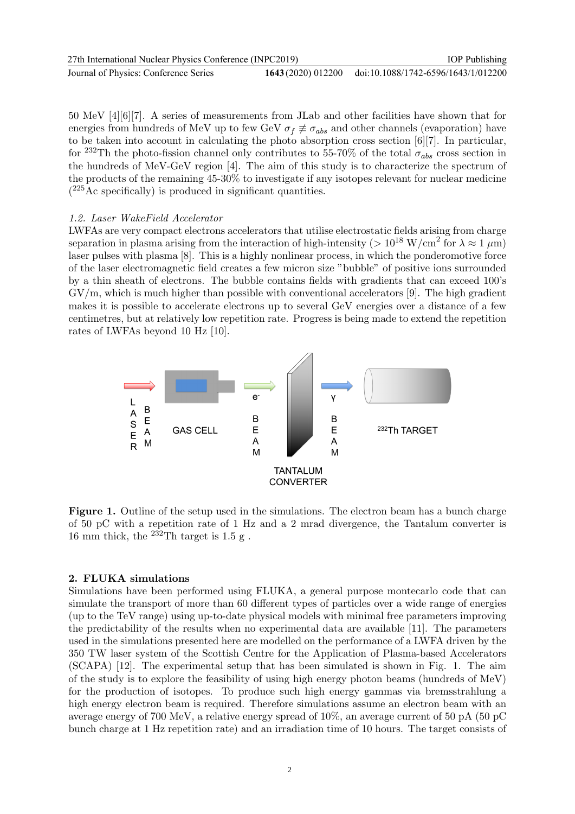| 27th International Nuclear Physics Conference (INPC2019) | <b>IOP</b> Publishing                                  |
|----------------------------------------------------------|--------------------------------------------------------|
| Journal of Physics: Conference Series                    | 1643 (2020) 012200 doi:10.1088/1742-6596/1643/1/012200 |

50 MeV [4][6][7]. A series of measurements from JLab and other facilities have shown that for energies from hundreds of MeV up to few GeV  $\sigma_f \neq \sigma_{abs}$  and other channels (evaporation) have to be taken into account in calculating the photo absorption cross section [6][7]. In particular, for <sup>232</sup>Th the photo-fission channel only contributes to 55-70% of the total  $\sigma_{abs}$  cross section in the hundreds of MeV-GeV region [4]. The aim of this study is to characterize the spectrum of the products of the remaining 45-30% to investigate if any isotopes relevant for nuclear medicine ( <sup>225</sup>Ac specifically) is produced in significant quantities.

#### 1.2. Laser WakeField Accelerator

LWFAs are very compact electrons accelerators that utilise electrostatic fields arising from charge separation in plasma arising from the interaction of high-intensity ( $> 10^{18}$  W/cm<sup>2</sup> for  $\lambda \approx 1 \ \mu m$ ) laser pulses with plasma [8]. This is a highly nonlinear process, in which the ponderomotive force of the laser electromagnetic field creates a few micron size "bubble" of positive ions surrounded by a thin sheath of electrons. The bubble contains fields with gradients that can exceed 100's  $\frac{G V}{m}$ , which is much higher than possible with conventional accelerators [9]. The high gradient makes it is possible to accelerate electrons up to several GeV energies over a distance of a few centimetres, but at relatively low repetition rate. Progress is being made to extend the repetition rates of LWFAs beyond 10 Hz [10].



Figure 1. Outline of the setup used in the simulations. The electron beam has a bunch charge of 50 pC with a repetition rate of 1 Hz and a 2 mrad divergence, the Tantalum converter is 16 mm thick, the  $^{232}$ Th target is 1.5 g.

#### 2. FLUKA simulations

Simulations have been performed using FLUKA, a general purpose montecarlo code that can simulate the transport of more than 60 different types of particles over a wide range of energies (up to the TeV range) using up-to-date physical models with minimal free parameters improving the predictability of the results when no experimental data are available [11]. The parameters used in the simulations presented here are modelled on the performance of a LWFA driven by the 350 TW laser system of the Scottish Centre for the Application of Plasma-based Accelerators (SCAPA) [12]. The experimental setup that has been simulated is shown in Fig. 1. The aim of the study is to explore the feasibility of using high energy photon beams (hundreds of MeV) for the production of isotopes. To produce such high energy gammas via bremsstrahlung a high energy electron beam is required. Therefore simulations assume an electron beam with an average energy of 700 MeV, a relative energy spread of 10%, an average current of 50 pA (50 pC bunch charge at 1 Hz repetition rate) and an irradiation time of 10 hours. The target consists of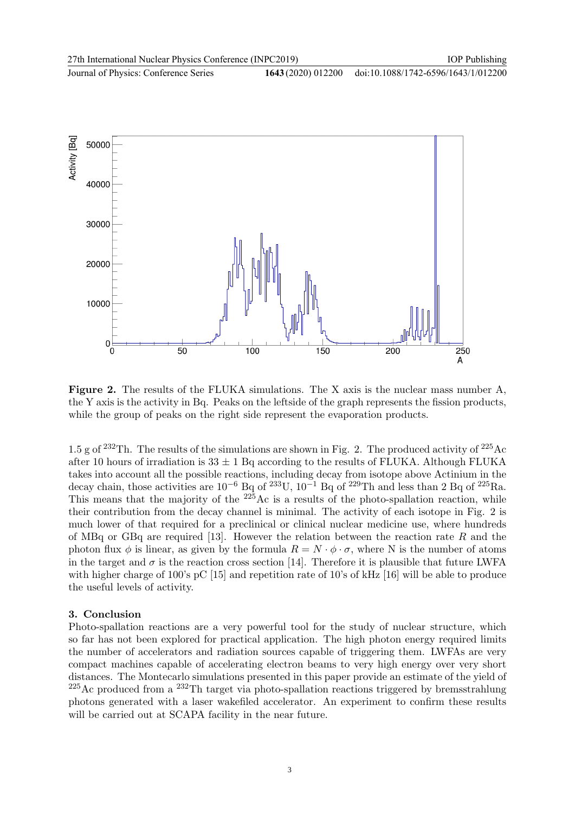Journal of Physics: Conference Series **1643** (2020) 012200 doi:10.1088/1742-6596/1643/1/012200



Figure 2. The results of the FLUKA simulations. The X axis is the nuclear mass number A, the Y axis is the activity in Bq. Peaks on the leftside of the graph represents the fission products, while the group of peaks on the right side represent the evaporation products.

1.5 g of <sup>232</sup>Th. The results of the simulations are shown in Fig. 2. The produced activity of <sup>225</sup>Ac after 10 hours of irradiation is  $33 \pm 1$  Bq according to the results of FLUKA. Although FLUKA takes into account all the possible reactions, including decay from isotope above Actinium in the decay chain, those activities are  $10^{-6}$  Bq of  $23^{3}$ U,  $10^{-1}$  Bq of  $22^{9}$ Th and less than 2 Bq of  $2^{25}$ Ra. This means that the majority of the  $225$ Ac is a results of the photo-spallation reaction, while their contribution from the decay channel is minimal. The activity of each isotope in Fig. 2 is much lower of that required for a preclinical or clinical nuclear medicine use, where hundreds of MBq or GBq are required [13]. However the relation between the reaction rate R and the photon flux  $\phi$  is linear, as given by the formula  $R = N \cdot \phi \cdot \sigma$ , where N is the number of atoms in the target and  $\sigma$  is the reaction cross section [14]. Therefore it is plausible that future LWFA with higher charge of 100's pC [15] and repetition rate of 10's of kHz [16] will be able to produce the useful levels of activity.

#### 3. Conclusion

Photo-spallation reactions are a very powerful tool for the study of nuclear structure, which so far has not been explored for practical application. The high photon energy required limits the number of accelerators and radiation sources capable of triggering them. LWFAs are very compact machines capable of accelerating electron beams to very high energy over very short distances. The Montecarlo simulations presented in this paper provide an estimate of the yield of  $^{225}$ Ac produced from a  $^{232}$ Th target via photo-spallation reactions triggered by bremsstrahlung photons generated with a laser wakefiled accelerator. An experiment to confirm these results will be carried out at SCAPA facility in the near future.